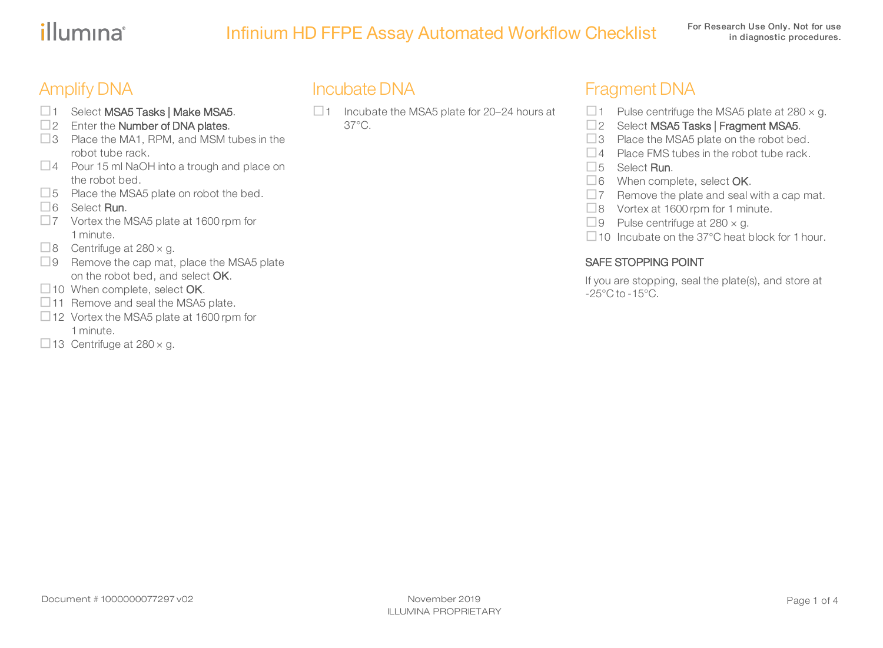# illumina®

# Infinium HD FFPE Assay Automated Workflow Checklist For Research Use Only. Not for use

## Amplify DNA

- □1 Select MSA5 Tasks | Make MSA5.
- $\square$ 2 Enter the Number of DNA plates.
- $\Box$ 3 Place the MA1, RPM, and MSM tubes in the robot tube rack.
- $\Box$  4 Pour 15 ml NaOH into a trough and place on the robot bed.
- $\Box$  5 Place the MSA5 plate on robot the bed.
- $\Box$  6 Select Run.
- $\square$ 7 Vortex the MSA5 plate at 1600 rpm for 1 minute.
- $\Box$  8 Centrifuge at 280  $\times$  g.
- $\Box$ 9 Remove the cap mat, place the MSA5 plate on the robot bed, and select OK.
- $\Box$  10 When complete, select OK.
- $\Box$ 11 Remove and seal the MSA5 plate.
- $\Box$  12 Vortex the MSA5 plate at 1600 rpm for 1 minute.
- $\Box$  13 Centrifuge at 280  $\times$  g.

### Incubate DNA

 $\Box$  1 Incubate the MSA5 plate for 20–24 hours at 37°C.

### Fragment DNA

- $\Box$  1 Pulse centrifuge the MSA5 plate at 280  $\times$  g.
- □2 Select MSA5 Tasks | Fragment MSA5.
- $\Box$ 3 Place the MSA5 plate on the robot bed.
- $\Box$  4 Place FMS tubes in the robot tube rack.
- $\Box$  5 Select Run.
- $\Box$ 6 When complete, select OK.
- $\square$ 7 Remove the plate and seal with a cap mat.
- $\Box$ 8 Vortex at 1600 rpm for 1 minute.
- $\Box$  9 Pulse centrifuge at 280  $\times$  g.
- $\Box$  10 Incubate on the 37°C heat block for 1 hour.

#### SAFE STOPPING POINT

If you are stopping, seal the plate(s), and store at  $-25^{\circ}$ C to  $-15^{\circ}$ C.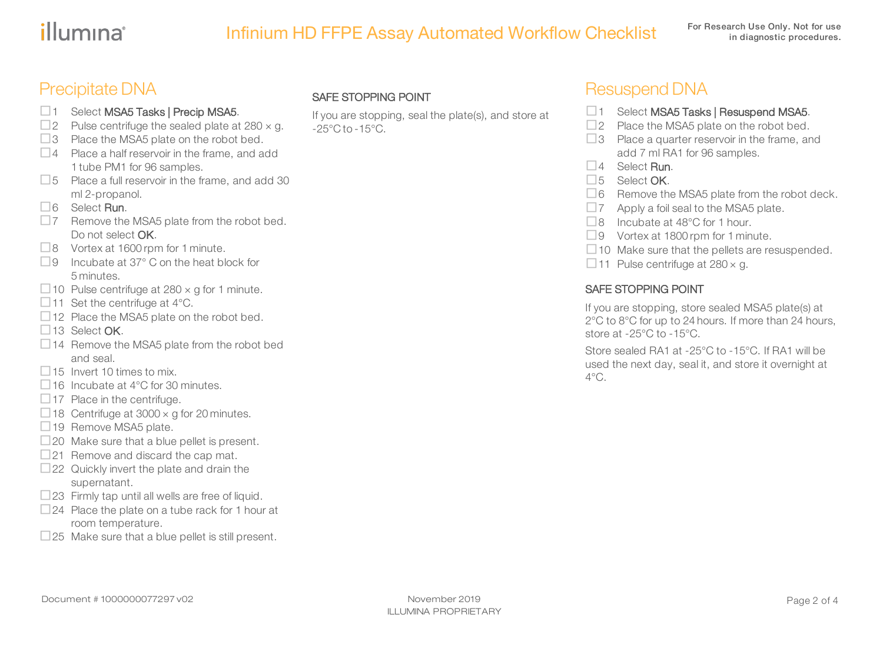# illumına

# Infinium HD FFPE Assay Automated Workflow Checklist For Research Use Only. Not for use

### Precipitate DNA

- □1 Select MSA5 Tasks | Precip MSA5.  $\square$  2 Pulse centrifuge the sealed plate at 280  $\times$  g.
- $\Box$ 3 Place the MSA5 plate on the robot bed.
- $\Box$  4 Place a half reservoir in the frame, and add 1 tube PM1 for 96 samples.
- $\square$  5 Place a full reservoir in the frame, and add 30 ml 2-propanol.
- □6 Select Run.
- $\square$ 7 Remove the MSA5 plate from the robot bed. Do not select **OK**.
- $\Box$ 8 Vortex at 1600 rpm for 1 minute.
- $\Box$ 9 Incubate at 37 $^{\circ}$  C on the heat block for 5 minutes.
- $\Box$  10 Pulse centrifuge at 280  $\times$  g for 1 minute.
- $\Box$  11 Set the centrifuge at 4°C.
- $\Box$  12 Place the MSA5 plate on the robot bed.
- $\Box$ 13 Select OK.
- □14 Remove the MSA5 plate from the robot bed and seal.
- $\Box$  15 Invert 10 times to mix.
- $\Box$  16 Incubate at 4°C for 30 minutes.
- $\Box$  17 Place in the centrifuge.
- $\Box$  18 Centrifuge at 3000  $\times$  g for 20 minutes.
- □19 Remove MSA5 plate.
- $\Box$  20 Make sure that a blue pellet is present.
- $\square$ 21 Remove and discard the cap mat.
- $\square$ 22 Quickly invert the plate and drain the supernatant.
- $\square$ 23 Firmly tap until all wells are free of liquid.
- $\Box$  24 Place the plate on a tube rack for 1 hour at room temperature.
- $\square$ 25 Make sure that a blue pellet is still present.

#### SAFE STOPPING POINT

If you are stopping, seal the plate(s), and store at  $-25^{\circ}$ C to  $-15^{\circ}$ C.

### Resuspend DNA

- □1 Select MSA5 Tasks | Resuspend MSA5.
- $\square$ 2 Place the MSA5 plate on the robot bed.
- $\square$ 3 Place a quarter reservoir in the frame, and add 7 ml RA1 for 96 samples.
- $\Box$  4 Select Run.
- □5 Select OK.
- $\Box$ 6 Remove the MSA5 plate from the robot deck.
- $\square$ 7 Apply a foil seal to the MSA5 plate.
- □8 Incubate at 48°C for 1 hour.
- $\Box$ 9 Vortex at 1800 rpm for 1 minute.
- $\Box$  10 Make sure that the pellets are resuspended.
- $\Box$  11 Pulse centrifuge at 280  $\times$  g.

#### SAFE STOPPING POINT

If you are stopping, store sealed MSA5 plate(s) at 2°C to 8°C for up to 24 hours. If more than 24 hours, store at -25°C to -15°C.

Store sealed RA1 at -25°C to -15°C. If RA1 will be used the next day, seal it, and store it overnight at  $4^{\circ}$ C.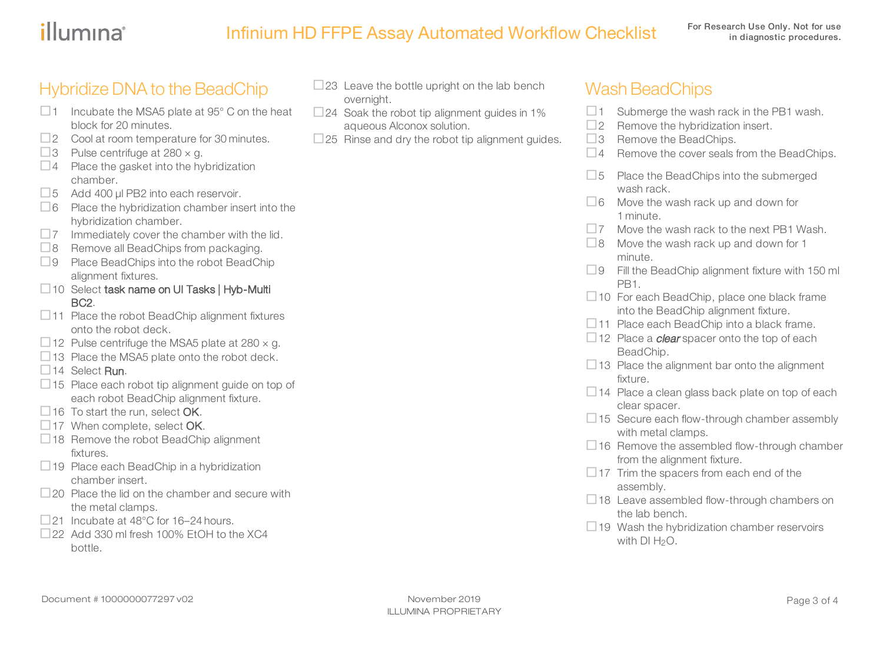# illumına

# Infinium HD FFPE Assay Automated Workflow Checklist For Research Use Only. Not for use

### Hybridize DNA to the BeadChip

- $\Box$  1 Incubate the MSA5 plate at 95 $^{\circ}$  C on the heat block for 20 minutes.
- $\Box$  2 Cool at room temperature for 30 minutes.
- $\Box$  3 Pulse centrifuge at 280  $\times$  g.
- $\Box$ 4 Place the gasket into the hybridization chamber.
- $\Box$  5 Add 400 µl PB2 into each reservoir.
- $\Box$ 6 Place the hybridization chamber insert into the hybridization chamber.
- $\square$ 7 Immediately cover the chamber with the lid.
- $\Box$ 8 Remove all BeadChips from packaging.
- $\Box$ 9 Place BeadChips into the robot BeadChip alignment fixtures.
- □10 Select task name on UI Tasks | Hyb-Multi BC2.
- $\Box$  11 Place the robot BeadChip alignment fixtures onto the robot deck.
- $\Box$  12 Pulse centrifuge the MSA5 plate at 280  $\times$  g.
- $\Box$  13 Place the MSA5 plate onto the robot deck.
- $\Box$  14 Select Run.
- □15 Place each robot tip alignment guide on top of each robot BeadChip alignment fixture.
- $\Box$  16 To start the run, select **OK**.
- $\Box$  17 When complete, select OK.
- $\Box$  18 Remove the robot BeadChip alignment fixtures.
- $\Box$  19 Place each BeadChip in a hybridization chamber insert.
- $\Box$  20 Place the lid on the chamber and secure with the metal clamps.
- $\Box$ 21 Incubate at 48°C for 16–24 hours.
- $\Box$ 22 Add 330 ml fresh 100% EtOH to the XC4 bottle.
- $\square$ 23 Leave the bottle upright on the lab bench overnight.
- $\Box$  24 Soak the robot tip alignment guides in 1% aqueous Alconox solution.
- $\square$ 25 Rinse and dry the robot tip alignment guides.

### **Wash BeadChips**

- $\Box$  1 Submerge the wash rack in the PB1 wash.
- $\square$ 2 Remove the hybridization insert.
- $\Box$ 3 Remove the BeadChips.
- $\Box$  4 Remove the cover seals from the BeadChips.
- $\square$  5 Place the BeadChips into the submerged wash rack.
- $\Box$  6 Move the wash rack up and down for 1 minute.
- $\square$ 7 Move the wash rack to the next PB1 Wash.
- $\Box$ 8 Move the wash rack up and down for 1 minute.
- $\square$ 9 Fill the BeadChip alignment fixture with 150 ml PB<sub>1</sub>.
- $\Box$  10 For each BeadChip, place one black frame into the BeadChip alignment fixture.
- $\Box$ 11 Place each BeadChip into a black frame.
- $\Box$  12 Place a *clear* spacer onto the top of each BeadChip.
- $\Box$  13 Place the alignment bar onto the alignment fixture.
- $\Box$  14 Place a clean glass back plate on top of each clear spacer.
- $\Box$  15 Secure each flow-through chamber assembly with metal clamps.
- $\Box$  16 Remove the assembled flow-through chamber from the alignment fixture.
- $\Box$  17 Trim the spacers from each end of the assembly.
- $\Box$  18 Leave assembled flow-through chambers on the lab bench.
- $\Box$  19 Wash the hybridization chamber reservoirs with  $DI H<sub>2</sub>O$ .